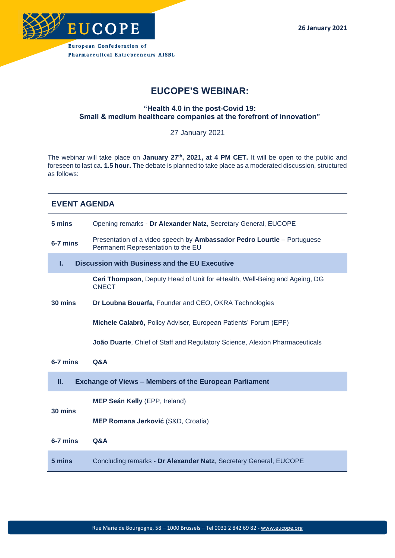

# **EUCOPE'S WEBINAR:**

## **"Health 4.0 in the post-Covid 19: Small & medium healthcare companies at the forefront of innovation"**

27 January 2021

The webinar will take place on **January 27th, 2021, at 4 PM CET.** It will be open to the public and foreseen to last ca. **1.5 hour.** The debate is planned to take place as a moderated discussion, structured as follows:

| 5 mins                                                              | Opening remarks - Dr Alexander Natz, Secretary General, EUCOPE                                                       |
|---------------------------------------------------------------------|----------------------------------------------------------------------------------------------------------------------|
| 6-7 mins                                                            | Presentation of a video speech by <b>Ambassador Pedro Lourtie</b> – Portuguese<br>Permanent Representation to the EU |
| <b>Discussion with Business and the EU Executive</b><br>I.          |                                                                                                                      |
| 30 mins                                                             | Ceri Thompson, Deputy Head of Unit for eHealth, Well-Being and Ageing, DG<br><b>CNECT</b>                            |
|                                                                     | Dr Loubna Bouarfa, Founder and CEO, OKRA Technologies                                                                |
|                                                                     | Michele Calabrò, Policy Adviser, European Patients' Forum (EPF)                                                      |
|                                                                     | <b>João Duarte, Chief of Staff and Regulatory Science, Alexion Pharmaceuticals</b>                                   |
| 6-7 mins                                                            | Q&A                                                                                                                  |
| П.<br><b>Exchange of Views - Members of the European Parliament</b> |                                                                                                                      |
| 30 mins                                                             | MEP Seán Kelly (EPP, Ireland)                                                                                        |
|                                                                     | MEP Romana Jerković (S&D, Croatia)                                                                                   |
| $6-7$ mins                                                          | <b>Q&amp;A</b>                                                                                                       |
| 5 mins                                                              | Concluding remarks - Dr Alexander Natz, Secretary General, EUCOPE                                                    |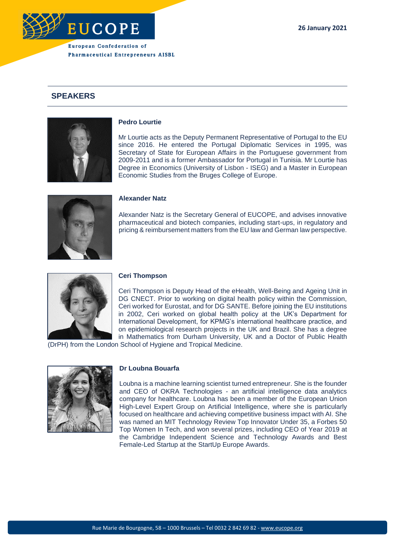

# **SPEAKERS**



### **Pedro Lourtie**

Mr Lourtie acts as the Deputy Permanent Representative of Portugal to the EU since 2016. He entered the Portugal Diplomatic Services in 1995, was Secretary of State for European Affairs in the Portuguese government from 2009-2011 and is a former Ambassador for Portugal in Tunisia. Mr Lourtie has Degree in Economics (University of Lisbon - ISEG) and a Master in European Economic Studies from the Bruges College of Europe.

# **Alexander Natz**

Alexander Natz is the Secretary General of EUCOPE, and advises innovative pharmaceutical and biotech companies, including start-ups, in regulatory and pricing & reimbursement matters from the EU law and German law perspective.



### **Ceri Thompson**

Ceri Thompson is Deputy Head of the eHealth, Well-Being and Ageing Unit in DG CNECT. Prior to working on digital health policy within the Commission, Ceri worked for Eurostat, and for DG SANTE. Before joining the EU institutions in 2002, Ceri worked on global health policy at the UK's Department for International Development, for KPMG's international healthcare practice, and on epidemiological research projects in the UK and Brazil. She has a degree in Mathematics from Durham University, UK and a Doctor of Public Health

(DrPH) from the London School of Hygiene and Tropical Medicine.



#### **Dr Loubna Bouarfa**

Loubna is a machine learning scientist turned entrepreneur. She is the founder and CEO of OKRA Technologies - an artificial intelligence data analytics company for healthcare. Loubna has been a member of the European Union High-Level Expert Group on Artificial Intelligence, where she is particularly focused on healthcare and achieving competitive business impact with AI. She was named an MIT Technology Review Top Innovator Under 35, a Forbes 50 Top Women In Tech, and won several prizes, including CEO of Year 2019 at the Cambridge Independent Science and Technology Awards and Best Female-Led Startup at the StartUp Europe Awards.